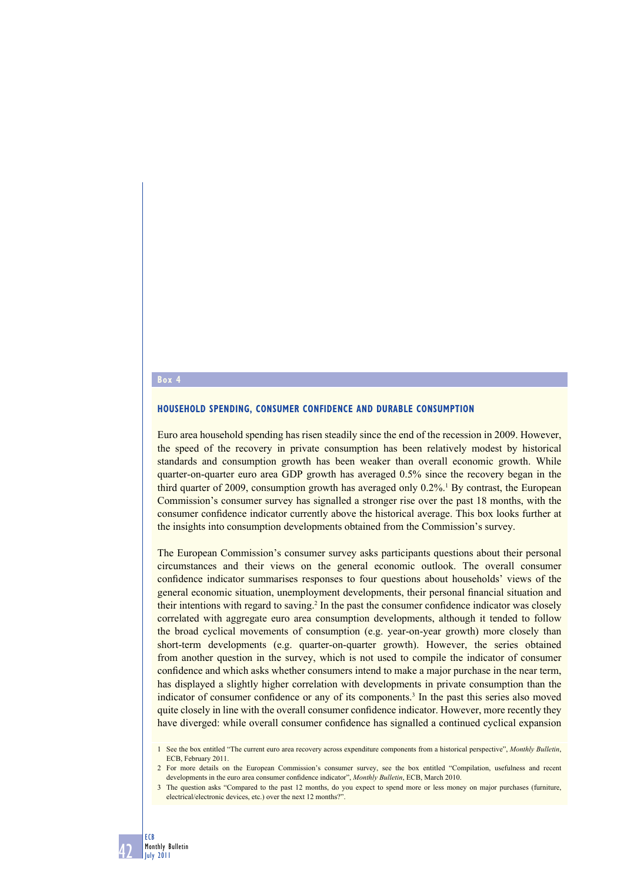## **Box 4**

## **HOUSEHOLD SPENDING, CONSUMER CONFIDENCE AND DURABLE CONSUMPTION**

Euro area household spending has risen steadily since the end of the recession in 2009. However, the speed of the recovery in private consumption has been relatively modest by historical standards and consumption growth has been weaker than overall economic growth. While quarter-on-quarter euro area GDP growth has averaged 0.5% since the recovery began in the third quarter of 2009, consumption growth has averaged only 0.2%.<sup>1</sup> By contrast, the European Commission's consumer survey has signalled a stronger rise over the past 18 months, with the consumer confidence indicator currently above the historical average. This box looks further at the insights into consumption developments obtained from the Commission's survey.

The European Commission's consumer survey asks participants questions about their personal circumstances and their views on the general economic outlook. The overall consumer confidence indicator summarises responses to four questions about households' views of the general economic situation, unemployment developments, their personal financial situation and their intentions with regard to saving.<sup>2</sup> In the past the consumer confidence indicator was closely correlated with aggregate euro area consumption developments, although it tended to follow the broad cyclical movements of consumption (e.g. year-on-year growth) more closely than short-term developments (e.g. quarter-on-quarter growth). However, the series obtained from another question in the survey, which is not used to compile the indicator of consumer confidence and which asks whether consumers intend to make a major purchase in the near term, has displayed a slightly higher correlation with developments in private consumption than the indicator of consumer confidence or any of its components.<sup>3</sup> In the past this series also moved quite closely in line with the overall consumer confidence indicator. However, more recently they have diverged: while overall consumer confidence has signalled a continued cyclical expansion

ECB

<sup>1</sup> See the box entitled "The current euro area recovery across expenditure components from a historical perspective", *Monthly Bulletin*, ECB, February 2011.

<sup>2</sup> For more details on the European Commission's consumer survey, see the box entitled "Compilation, usefulness and recent developments in the euro area consumer confidence indicator", *Monthly Bulletin*, ECB, March 2010.

<sup>3</sup> The question asks "Compared to the past 12 months, do you expect to spend more or less money on major purchases (furniture, electrical/electronic devices, etc.) over the next 12 months?".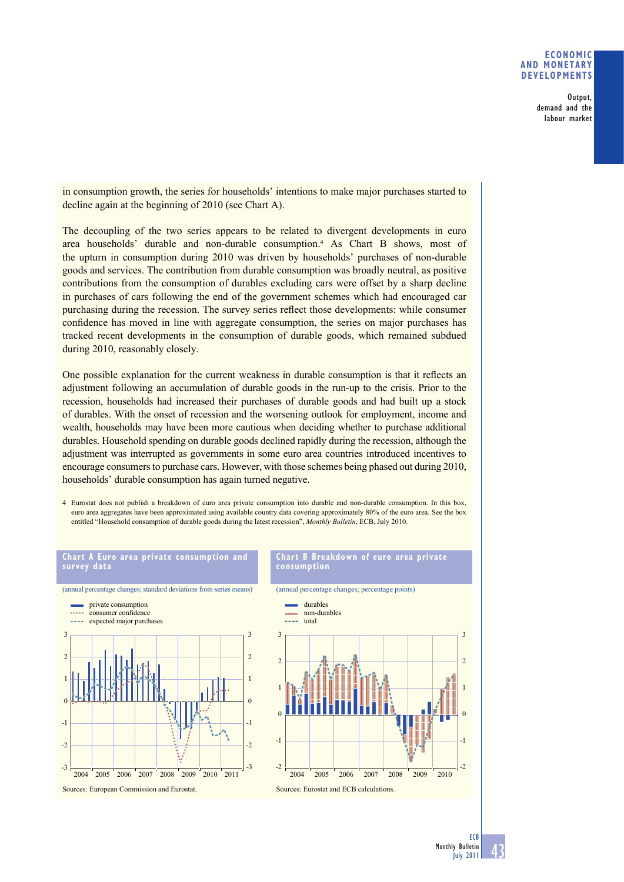## **ECONOMIC AND MONETARY DEVELOPMENTS**

Output, demand and the labour market

in consumption growth, the series for households' intentions to make major purchases started to decline again at the beginning of 2010 (see Chart A).

The decoupling of the two series appears to be related to divergent developments in euro area households' durable and non-durable consumption.4 As Chart B shows, most of the upturn in consumption during 2010 was driven by households' purchases of non-durable goods and services. The contribution from durable consumption was broadly neutral, as positive contributions from the consumption of durables excluding cars were offset by a sharp decline in purchases of cars following the end of the government schemes which had encouraged car purchasing during the recession. The survey series reflect those developments: while consumer confidence has moved in line with aggregate consumption, the series on major purchases has tracked recent developments in the consumption of durable goods, which remained subdued during 2010, reasonably closely.

One possible explanation for the current weakness in durable consumption is that it reflects an adjustment following an accumulation of durable goods in the run-up to the crisis. Prior to the recession, households had increased their purchases of durable goods and had built up a stock of durables. With the onset of recession and the worsening outlook for employment, income and wealth, households may have been more cautious when deciding whether to purchase additional durables. Household spending on durable goods declined rapidly during the recession, although the adjustment was interrupted as governments in some euro area countries introduced incentives to encourage consumers to purchase cars. However, with those schemes being phased out during 2010, households' durable consumption has again turned negative.

4 Eurostat does not publish a breakdown of euro area private consumption into durable and non-durable consumption. In this box, euro area aggregates have been approximated using available country data covering approximately 80% of the euro area. See the box entitled "Household consumption of durable goods during the latest recession", *Monthly Bulletin*, ECB, July 2010.



**ECB**